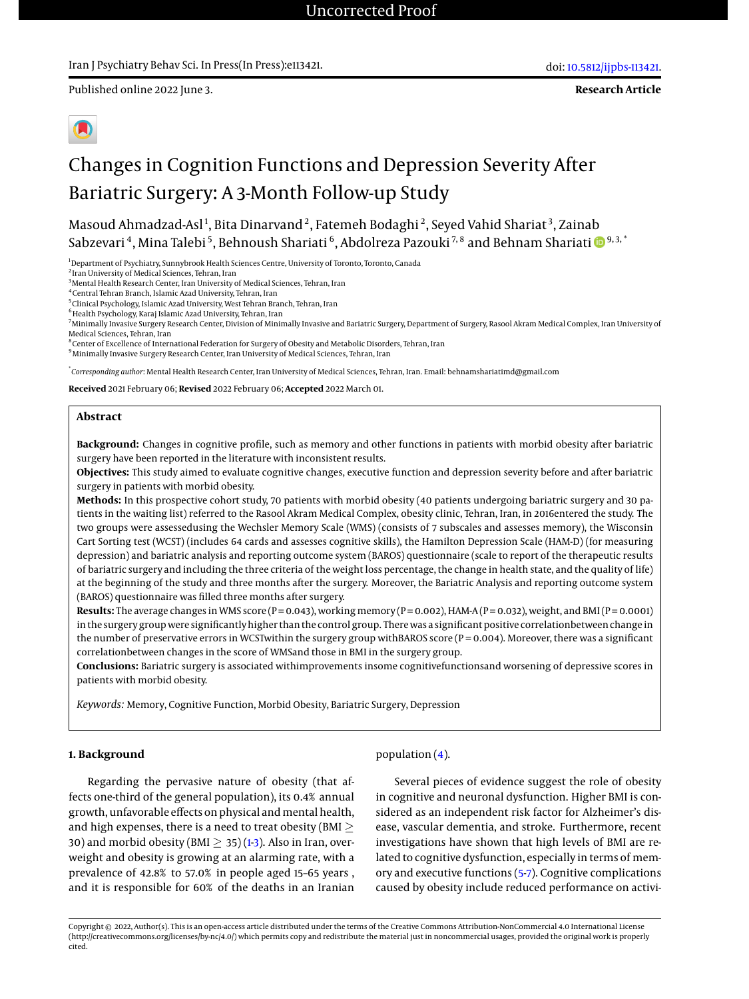Published online 2022 June 3.

**Research Article**

# Changes in Cognition Functions and Depression Severity After Bariatric Surgery: A 3-Month Follow-up Study

Masoud Ahmadzad-Asl $^1$ , Bita Dinarvand $^2$ , Fatemeh Bodaghi $^2$ , Seyed Vahid Shariat $^3$ , Zainab Sabzevari <sup>4</sup>, Mina Talebi <sup>5</sup>, Behnoush Shariati <sup>6</sup>, Abdolreza Pazouki <sup>7, 8</sup> and Behnam Shariati **D** 9, 3, '

<sup>1</sup>Department of Psychiatry, Sunnybrook Health Sciences Centre, University of Toronto, Toronto, Canada

2 Iran University of Medical Sciences, Tehran, Iran

<sup>3</sup> Mental Health Research Center, Iran University of Medical Sciences, Tehran, Iran

4 Central Tehran Branch, Islamic Azad University, Tehran, Iran

5 Clinical Psychology, Islamic Azad University, West Tehran Branch, Tehran, Iran

 $^6$ Health Psychology, Karaj Islamic Azad University, Tehran, Iran

8 Center of Excellence of International Federation for Surgery of Obesity and Metabolic Disorders, Tehran, Iran

<sup>9</sup> Minimally Invasive Surgery Research Center, Iran University of Medical Sciences, Tehran, Iran

\* *Corresponding author*: Mental Health Research Center, Iran University of Medical Sciences, Tehran, Iran. Email: behnamshariatimd@gmail.com

**Received** 2021 February 06; **Revised** 2022 February 06; **Accepted** 2022 March 01.

#### **Abstract**

**Background:** Changes in cognitive profile, such as memory and other functions in patients with morbid obesity after bariatric surgery have been reported in the literature with inconsistent results.

**Objectives:** This study aimed to evaluate cognitive changes, executive function and depression severity before and after bariatric surgery in patients with morbid obesity.

**Methods:** In this prospective cohort study, 70 patients with morbid obesity (40 patients undergoing bariatric surgery and 30 patients in the waiting list) referred to the Rasool Akram Medical Complex, obesity clinic, Tehran, Iran, in 2016entered the study. The two groups were assessedusing the Wechsler Memory Scale (WMS) (consists of 7 subscales and assesses memory), the Wisconsin Cart Sorting test (WCST) (includes 64 cards and assesses cognitive skills), the Hamilton Depression Scale (HAM-D) (for measuring depression) and bariatric analysis and reporting outcome system (BAROS) questionnaire (scale to report of the therapeutic results of bariatric surgery and including the three criteria of the weight loss percentage, the change in health state, and the quality of life) at the beginning of the study and three months after the surgery. Moreover, the Bariatric Analysis and reporting outcome system (BAROS) questionnaire was filled three months after surgery.

**Results:** The average changes in WMS score (P = 0.043), working memory (P = 0.002), HAM-A (P = 0.032), weight, and BMI (P = 0.0001) in the surgery group were significantly higher than the control group. There was a significant positive correlationbetween change in the number of preservative errors in WCSTwithin the surgery group withBAROS score (P = 0.004). Moreover, there was a significant correlationbetween changes in the score of WMSand those in BMI in the surgery group.

**Conclusions:** Bariatric surgery is associated withimprovements insome cognitivefunctionsand worsening of depressive scores in patients with morbid obesity.

*Keywords:* Memory, Cognitive Function, Morbid Obesity, Bariatric Surgery, Depression

#### **1. Background**

Regarding the pervasive nature of obesity (that affects one-third of the general population), its 0.4% annual growth, unfavorable effects on physical and mental health, and high expenses, there is a need to treat obesity (BMI  $\geq$ 30) and morbid obesity (BMI  $>$  35) [\(1-](#page-7-0)[3\)](#page-7-1). Also in Iran, overweight and obesity is growing at an alarming rate, with a prevalence of 42.8% to 57.0% in people aged 15–65 years , and it is responsible for 60% of the deaths in an Iranian

#### population [\(4\)](#page-7-2).

Several pieces of evidence suggest the role of obesity in cognitive and neuronal dysfunction. Higher BMI is considered as an independent risk factor for Alzheimer's disease, vascular dementia, and stroke. Furthermore, recent investigations have shown that high levels of BMI are related to cognitive dysfunction, especially in terms of memory and executive functions [\(5-](#page-7-3)[7\)](#page-7-4). Cognitive complications caused by obesity include reduced performance on activi-

<sup>&</sup>lt;sup>7</sup>Minimally Invasive Surgery Research Center, Division of Minimally Invasive and Bariatric Surgery, Department of Surgery, Rasool Akram Medical Complex, Iran University of Medical Sciences, Tehran, Iran

Copyright © 2022, Author(s). This is an open-access article distributed under the terms of the Creative Commons Attribution-NonCommercial 4.0 International License (http://creativecommons.org/licenses/by-nc/4.0/) which permits copy and redistribute the material just in noncommercial usages, provided the original work is properly cited.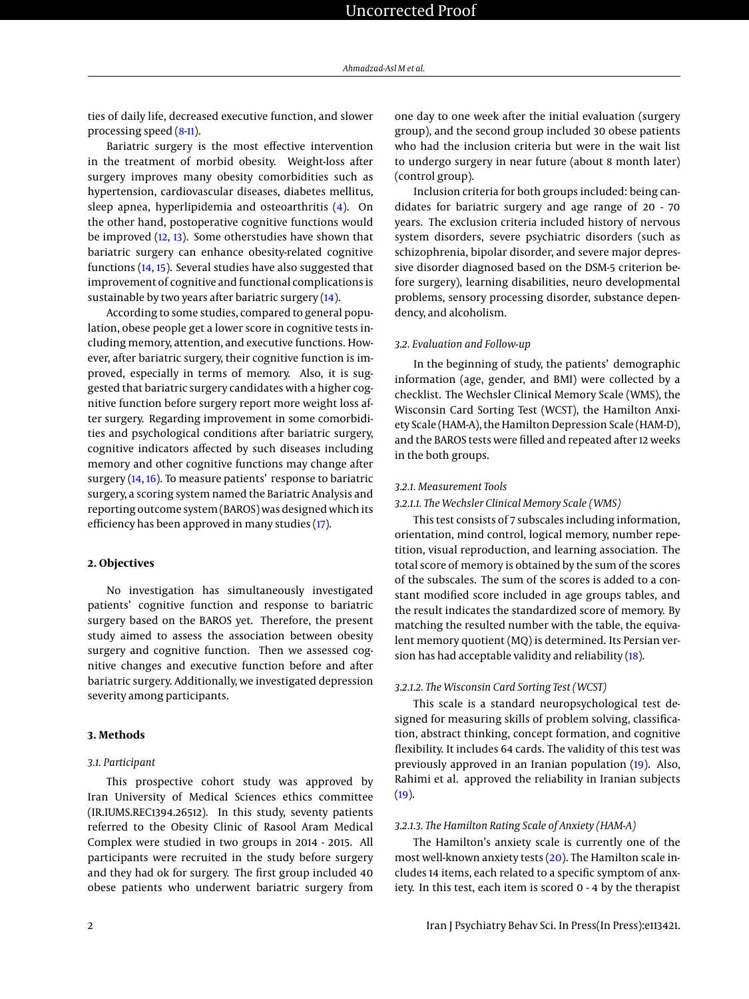ties of daily life, decreased executive function, and slower processing speed [\(8](#page-8-0)[-11\)](#page-8-1).

Bariatric surgery is the most effective intervention in the treatment of morbid obesity. Weight-loss after surgery improves many obesity comorbidities such as hypertension, cardiovascular diseases, diabetes mellitus, sleep apnea, hyperlipidemia and osteoarthritis [\(4\)](#page-7-2). On the other hand, postoperative cognitive functions would be improved [\(12,](#page-8-2) [13\)](#page-8-3). Some otherstudies have shown that bariatric surgery can enhance obesity-related cognitive functions [\(14,](#page-8-4) [15\)](#page-8-5). Several studies have also suggested that improvement of cognitive and functional complications is sustainable by two years after bariatric surgery [\(14\)](#page-8-4).

According to some studies, compared to general population, obese people get a lower score in cognitive tests including memory, attention, and executive functions. However, after bariatric surgery, their cognitive function is improved, especially in terms of memory. Also, it is suggested that bariatric surgery candidates with a higher cognitive function before surgery report more weight loss after surgery. Regarding improvement in some comorbidities and psychological conditions after bariatric surgery, cognitive indicators affected by such diseases including memory and other cognitive functions may change after surgery [\(14,](#page-8-4) [16\)](#page-8-6). To measure patients' response to bariatric surgery, a scoring system named the Bariatric Analysis and reporting outcome system (BAROS) was designed which its efficiency has been approved in many studies [\(17\)](#page-8-7).

#### **2. Objectives**

No investigation has simultaneously investigated patients' cognitive function and response to bariatric surgery based on the BAROS yet. Therefore, the present study aimed to assess the association between obesity surgery and cognitive function. Then we assessed cognitive changes and executive function before and after bariatric surgery. Additionally, we investigated depression severity among participants.

#### **3. Methods**

#### *3.1. Participant*

This prospective cohort study was approved by Iran University of Medical Sciences ethics committee (IR.IUMS.REC1394.26512). In this study, seventy patients referred to the Obesity Clinic of Rasool Aram Medical Complex were studied in two groups in 2014 - 2015. All participants were recruited in the study before surgery and they had ok for surgery. The first group included 40 obese patients who underwent bariatric surgery from

one day to one week after the initial evaluation (surgery group), and the second group included 30 obese patients who had the inclusion criteria but were in the wait list to undergo surgery in near future (about 8 month later) (control group).

Inclusion criteria for both groups included: being candidates for bariatric surgery and age range of 20 - 70 years. The exclusion criteria included history of nervous system disorders, severe psychiatric disorders (such as schizophrenia, bipolar disorder, and severe major depressive disorder diagnosed based on the DSM-5 criterion before surgery), learning disabilities, neuro developmental problems, sensory processing disorder, substance dependency, and alcoholism.

#### *3.2. Evaluation and Follow-up*

In the beginning of study, the patients' demographic information (age, gender, and BMI) were collected by a checklist. The Wechsler Clinical Memory Scale (WMS), the Wisconsin Card Sorting Test (WCST), the Hamilton Anxiety Scale (HAM-A), the Hamilton Depression Scale (HAM-D), and the BAROS tests were filled and repeated after 12 weeks in the both groups.

#### *3.2.1. Measurement Tools*

#### *3.2.1.1. The Wechsler Clinical Memory Scale (WMS)*

This test consists of 7 subscales including information, orientation, mind control, logical memory, number repetition, visual reproduction, and learning association. The total score of memory is obtained by the sum of the scores of the subscales. The sum of the scores is added to a constant modified score included in age groups tables, and the result indicates the standardized score of memory. By matching the resulted number with the table, the equivalent memory quotient (MQ) is determined. Its Persian version has had acceptable validity and reliability  $(18)$ .

#### *3.2.1.2. The Wisconsin Card Sorting Test (WCST)*

This scale is a standard neuropsychological test designed for measuring skills of problem solving, classification, abstract thinking, concept formation, and cognitive flexibility. It includes 64 cards. The validity of this test was previously approved in an Iranian population [\(19\)](#page-8-9). Also, Rahimi et al. approved the reliability in Iranian subjects  $(19).$  $(19).$ 

#### *3.2.1.3. The Hamilton Rating Scale of Anxiety (HAM-A)*

The Hamilton's anxiety scale is currently one of the most well-known anxiety tests [\(20\)](#page-8-10). The Hamilton scale includes 14 items, each related to a specific symptom of anxiety. In this test, each item is scored 0 - 4 by the therapist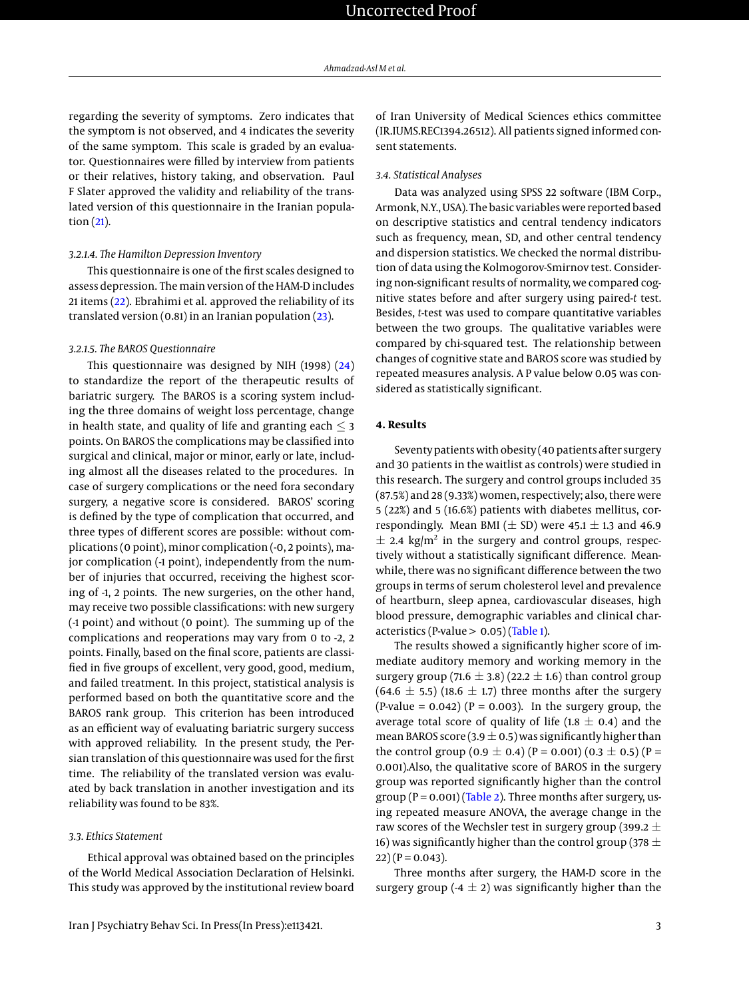regarding the severity of symptoms. Zero indicates that the symptom is not observed, and 4 indicates the severity of the same symptom. This scale is graded by an evaluator. Questionnaires were filled by interview from patients or their relatives, history taking, and observation. Paul F Slater approved the validity and reliability of the translated version of this questionnaire in the Iranian population [\(21\)](#page-8-11).

#### *3.2.1.4. The Hamilton Depression Inventory*

This questionnaire is one of the first scales designed to assess depression. The main version of the HAM-D includes 21 items [\(22\)](#page-8-12). Ebrahimi et al. approved the reliability of its translated version (0.81) in an Iranian population [\(23\)](#page-8-13).

#### *3.2.1.5. The BAROS Questionnaire*

This questionnaire was designed by NIH (1998) [\(24\)](#page-8-14) to standardize the report of the therapeutic results of bariatric surgery. The BAROS is a scoring system including the three domains of weight loss percentage, change in health state, and quality of life and granting each  $\leq$  3 points. On BAROS the complications may be classified into surgical and clinical, major or minor, early or late, including almost all the diseases related to the procedures. In case of surgery complications or the need fora secondary surgery, a negative score is considered. BAROS' scoring is defined by the type of complication that occurred, and three types of different scores are possible: without complications (0 point), minor complication (-0, 2 points), major complication (-1 point), independently from the number of injuries that occurred, receiving the highest scoring of -1, 2 points. The new surgeries, on the other hand, may receive two possible classifications: with new surgery (-1 point) and without (0 point). The summing up of the complications and reoperations may vary from 0 to -2, 2 points. Finally, based on the final score, patients are classified in five groups of excellent, very good, good, medium, and failed treatment. In this project, statistical analysis is performed based on both the quantitative score and the BAROS rank group. This criterion has been introduced as an efficient way of evaluating bariatric surgery success with approved reliability. In the present study, the Persian translation of this questionnaire was used for the first time. The reliability of the translated version was evaluated by back translation in another investigation and its reliability was found to be 83%.

#### *3.3. Ethics Statement*

Ethical approval was obtained based on the principles of the World Medical Association Declaration of Helsinki. This study was approved by the institutional review board

of Iran University of Medical Sciences ethics committee (IR.IUMS.REC1394.26512). All patients signed informed consent statements.

#### *3.4. Statistical Analyses*

Data was analyzed using SPSS 22 software (IBM Corp., Armonk, N.Y., USA). The basic variables were reported based on descriptive statistics and central tendency indicators such as frequency, mean, SD, and other central tendency and dispersion statistics. We checked the normal distribution of data using the Kolmogorov-Smirnov test. Considering non-significant results of normality, we compared cognitive states before and after surgery using paired-*t* test. Besides, *t*-test was used to compare quantitative variables between the two groups. The qualitative variables were compared by chi-squared test. The relationship between changes of cognitive state and BAROS score was studied by repeated measures analysis. A P value below 0.05 was considered as statistically significant.

#### **4. Results**

Seventy patients with obesity (40 patients after surgery and 30 patients in the waitlist as controls) were studied in this research. The surgery and control groups included 35 (87.5%) and 28 (9.33%) women, respectively; also, there were 5 (22%) and 5 (16.6%) patients with diabetes mellitus, correspondingly. Mean BMI ( $\pm$  SD) were 45.1  $\pm$  1.3 and 46.9  $\pm$  2.4 kg/m<sup>2</sup> in the surgery and control groups, respectively without a statistically significant difference. Meanwhile, there was no significant difference between the two groups in terms of serum cholesterol level and prevalence of heartburn, sleep apnea, cardiovascular diseases, high blood pressure, demographic variables and clinical characteristics (P-value  $> 0.05$ ) [\(Table 1\)](#page-3-0).

The results showed a significantly higher score of immediate auditory memory and working memory in the surgery group (71.6  $\pm$  3.8) (22.2  $\pm$  1.6) than control group  $(64.6 \pm 5.5)$  (18.6  $\pm$  1.7) three months after the surgery (P-value =  $0.042$ ) (P =  $0.003$ ). In the surgery group, the average total score of quality of life (1.8  $\pm$  0.4) and the mean BAROS score (3.9  $\pm$  0.5) was significantly higher than the control group (0.9  $\pm$  0.4) (P = 0.001) (0.3  $\pm$  0.5) (P = 0.001).Also, the qualitative score of BAROS in the surgery group was reported significantly higher than the control group ( $P = 0.001$ ) [\(Table 2\)](#page-4-0). Three months after surgery, using repeated measure ANOVA, the average change in the raw scores of the Wechsler test in surgery group (399.2  $\pm$ 16) was significantly higher than the control group (378  $\pm$  $(22)$  (P = 0.043).

Three months after surgery, the HAM-D score in the surgery group (-4  $\pm$  2) was significantly higher than the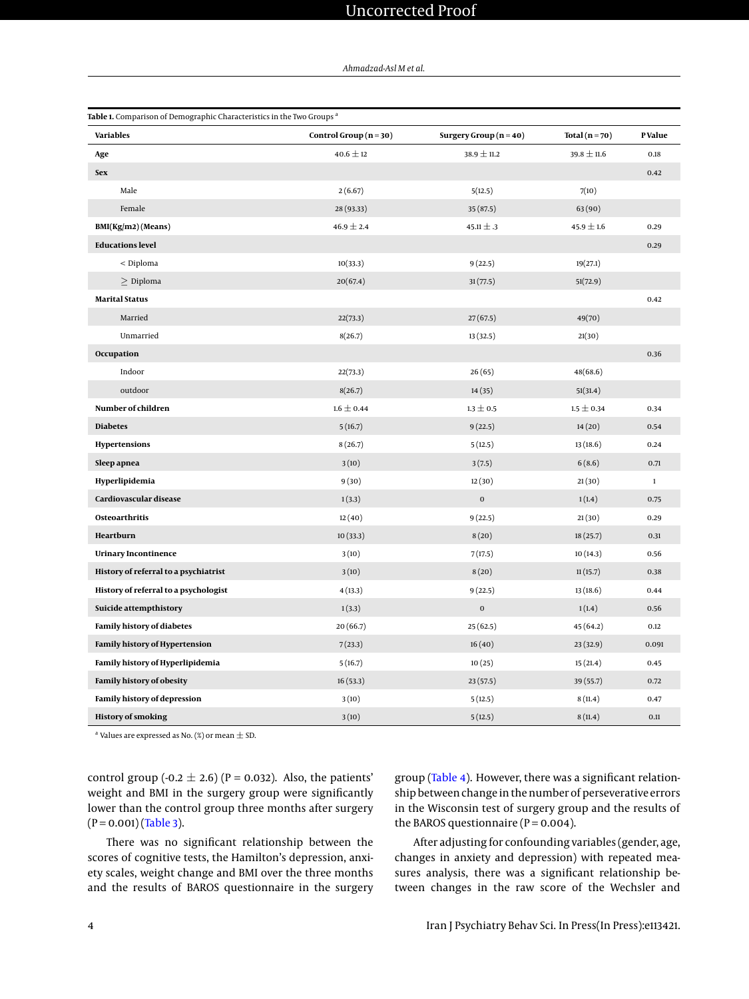## Uncorrected Proof

#### *Ahmadzad-Asl M et al.*

<span id="page-3-0"></span>

| Table 1. Comparison of Demographic Characteristics in the Two Groups <sup>a</sup> |                        |                          |                    |              |  |  |  |  |
|-----------------------------------------------------------------------------------|------------------------|--------------------------|--------------------|--------------|--|--|--|--|
| <b>Variables</b>                                                                  | Control Group $(n=30)$ | Surgery Group $(n = 40)$ | Total ( $n = 70$ ) | P Value      |  |  |  |  |
| Age                                                                               | $40.6 \pm 12$          | $38.9 \pm 11.2$          | $39.8 \pm 11.6$    | 0.18         |  |  |  |  |
| <b>Sex</b>                                                                        |                        |                          |                    | 0.42         |  |  |  |  |
| Male                                                                              | 2(6.67)                | 5(12.5)                  | 7(10)              |              |  |  |  |  |
| Female                                                                            | 28 (93.33)             | 35(87.5)                 | 63(90)             |              |  |  |  |  |
| $BMI(Kg/m2)$ (Means)                                                              | $46.9 \pm 2.4$         | 45.11 $\pm$ .3           | $45.9 \pm 1.6$     | 0.29         |  |  |  |  |
| <b>Educations level</b>                                                           |                        |                          |                    | 0.29         |  |  |  |  |
| $<$ Diploma                                                                       | 10(33.3)               | 9(22.5)                  | 19(27.1)           |              |  |  |  |  |
| $\geq$ Diploma                                                                    | 20(67.4)               | 31(77.5)                 | 51(72.9)           |              |  |  |  |  |
| <b>Marital Status</b>                                                             |                        |                          |                    | 0.42         |  |  |  |  |
| Married                                                                           | 22(73.3)               | 27(67.5)                 | 49(70)             |              |  |  |  |  |
| Unmarried                                                                         | 8(26.7)                | 13(32.5)                 | 21(30)             |              |  |  |  |  |
| Occupation                                                                        |                        |                          |                    | 0.36         |  |  |  |  |
| Indoor                                                                            | 22(73.3)               | 26(65)                   | 48(68.6)           |              |  |  |  |  |
| outdoor                                                                           | 8(26.7)                | 14(35)                   | 51(31.4)           |              |  |  |  |  |
| Number of children                                                                | $1.6 \pm 0.44$         | $1.3 \pm 0.5$            | $1.5 \pm 0.34$     | 0.34         |  |  |  |  |
| <b>Diabetes</b>                                                                   | 5(16.7)                | 9(22.5)                  | 14(20)             | 0.54         |  |  |  |  |
| Hypertensions                                                                     | 8(26.7)                | 5(12.5)                  | 13(18.6)           | 0.24         |  |  |  |  |
| Sleep apnea                                                                       | 3(10)                  | 3(7.5)                   | 6(8.6)             | 0.71         |  |  |  |  |
| Hyperlipidemia                                                                    | 9(30)                  | 12(30)                   | 21(30)             | $\mathbf{1}$ |  |  |  |  |
| Cardiovascular disease                                                            | 1(3.3)                 | $\boldsymbol{0}$         | 1(1.4)             | 0.75         |  |  |  |  |
| Osteoarthritis                                                                    | 12(40)                 | 9(22.5)                  | 21(30)             | 0.29         |  |  |  |  |
| Heartburn                                                                         | 10(33.3)               | 8(20)                    | 18(25.7)           | 0.31         |  |  |  |  |
| <b>Urinary Incontinence</b>                                                       | 3(10)                  | 7(17.5)                  | 10(14.3)           | 0.56         |  |  |  |  |
| History of referral to a psychiatrist                                             | 3(10)                  | 8(20)                    | 11(15.7)           | 0.38         |  |  |  |  |
| History of referral to a psychologist                                             | 4(13.3)                | 9(22.5)                  | 13(18.6)           | 0.44         |  |  |  |  |
| Suicide attempthistory                                                            | 1(3.3)                 | $\mathbf 0$              | 1(1.4)             | 0.56         |  |  |  |  |
| <b>Family history of diabetes</b>                                                 | 20(66.7)               | 25(62.5)                 | 45(64.2)           | 0.12         |  |  |  |  |
| <b>Family history of Hypertension</b>                                             | 7(23.3)                | 16(40)                   | 23(32.9)           | 0.091        |  |  |  |  |
| Family history of Hyperlipidemia                                                  | 5(16.7)                | 10(25)                   | 15(21.4)           | 0.45         |  |  |  |  |
| Family history of obesity                                                         | 16(53.3)               | 23(57.5)                 | 39(55.7)           | 0.72         |  |  |  |  |
| Family history of depression                                                      | 3(10)                  | 5(12.5)                  | 8(11.4)            | 0.47         |  |  |  |  |
| <b>History of smoking</b>                                                         | 3(10)                  | 5(12.5)                  | 8(11.4)            | 0.11         |  |  |  |  |

 $^{\rm a}$  Values are expressed as No. (%) or mean  $\pm$  SD.

control group (-0.2  $\pm$  2.6) (P = 0.032). Also, the patients' weight and BMI in the surgery group were significantly lower than the control group three months after surgery  $(P = 0.001)$  [\(Table 3\)](#page-5-0).

There was no significant relationship between the scores of cognitive tests, the Hamilton's depression, anxiety scales, weight change and BMI over the three months and the results of BAROS questionnaire in the surgery group [\(Table 4\)](#page-6-0). However, there was a significant relationship between change in the number of perseverative errors in the Wisconsin test of surgery group and the results of the BAROS questionnaire ( $P = 0.004$ ).

After adjusting for confounding variables (gender, age, changes in anxiety and depression) with repeated measures analysis, there was a significant relationship between changes in the raw score of the Wechsler and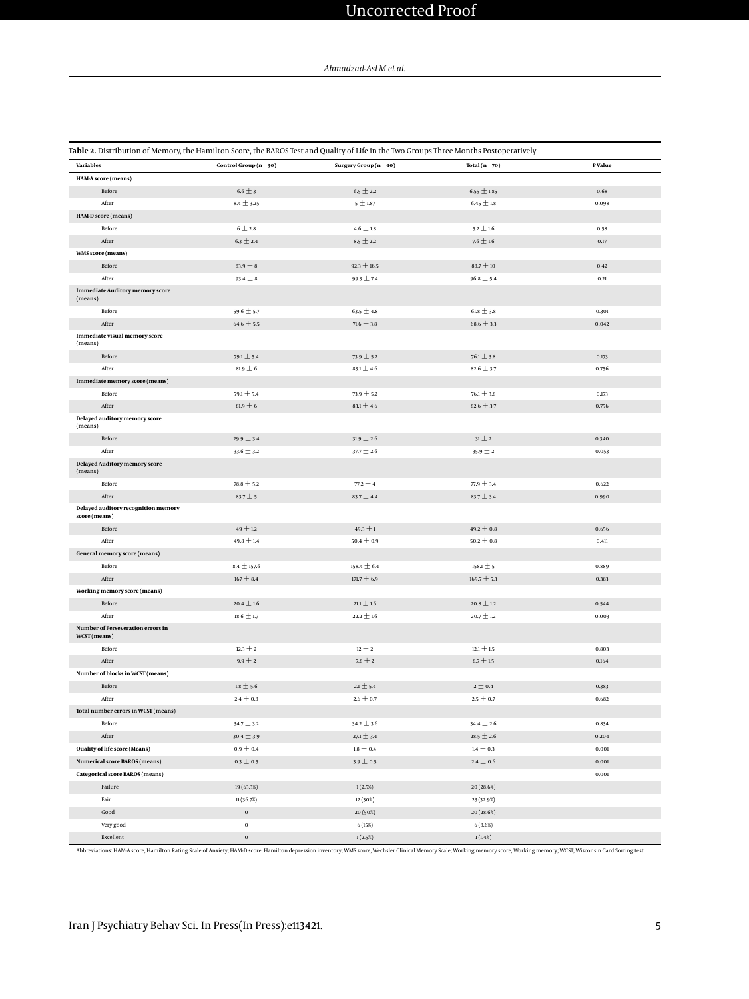# Uncorrected Proof

#### *Ahmadzad-Asl M et al.*

<span id="page-4-0"></span>

|                                                      |                        | Table 2. Distribution of Memory, the Hamilton Score, the BAROS Test and Quality of Life in the Two Groups Three Months Postoperatively |                 |                  |
|------------------------------------------------------|------------------------|----------------------------------------------------------------------------------------------------------------------------------------|-----------------|------------------|
| <b>Variables</b>                                     | Control Group $(n=30)$ | Surgery Group (n = 40)                                                                                                                 | Total $(n=70)$  | <b>P</b> Value   |
| HAM-A score (means)                                  |                        |                                                                                                                                        |                 |                  |
| Before                                               | $6.6 \pm 3$            | $6.5 \pm 2.2$                                                                                                                          | $6.55 \pm 1.85$ | 0.68             |
| After                                                | $8.4 \pm 3.25$         | $5 \pm 1.87$                                                                                                                           | $6.45 \pm 1.8$  | 0.098            |
| HAM-D score (means)                                  |                        |                                                                                                                                        |                 |                  |
| Before                                               | $6 \pm 2.8$            | 4.6 $\pm$ 1.8                                                                                                                          | $5.2\pm1.6$     | 0.58             |
| After                                                | $6.3 \pm 2.4$          | $8.5 \pm 2.2$                                                                                                                          | 7.6 $\pm$ 1.6   | 0.17             |
| WMS score (means)                                    |                        |                                                                                                                                        |                 |                  |
| Before                                               | $83.9 \pm 8$           | $92.3 \pm 16.5$                                                                                                                        | $88.7 \pm 10$   | 0.42             |
| After                                                | $93.4 \pm 8$           | $99.3 \pm 7.4$                                                                                                                         | $96.8 \pm 5.4$  | 0.21             |
| <b>Immediate Auditory memory score</b><br>(means)    |                        |                                                                                                                                        |                 |                  |
| Before                                               | 59.6 $\pm$ 5.7         | 63.5 $\pm$ 4.8                                                                                                                         | $61.8 \pm 3.8$  | 0.301            |
| After                                                | $64.6 \pm 5.5$         | 71.6 $\pm$ 3.8                                                                                                                         | $68.6 \pm 3.3$  | 0.042            |
| Immediate visual memory score<br>(means)             |                        |                                                                                                                                        |                 |                  |
| Before                                               | $79.1 \pm 5.4$         | $73.9 \pm 5.2$                                                                                                                         | $76.1 \pm 3.8$  | 0.173            |
| After                                                | $81.9 \pm 6$           | $83.1 \pm 4.6$                                                                                                                         | $82.6 \pm 3.7$  | 0.756            |
| Immediate memory score (means)                       |                        |                                                                                                                                        |                 |                  |
| Before                                               | $79.1 \pm 5.4$         | $73.9 \pm 5.2$                                                                                                                         | $76.1 \pm 3.8$  | 0.173            |
| After                                                | 81.9 $\pm$ 6           | 83.1 $\pm$ 4.6                                                                                                                         | 82.6 $\pm$ 3.7  | 0.756            |
| Delayed auditory memory score<br>(means)             |                        |                                                                                                                                        |                 |                  |
| Before                                               | $29.9 \pm 3.4$         | $31.9 \pm 2.6$                                                                                                                         | $31 \pm 2$      | 0.340            |
| After                                                | $33.6 \pm 3.2$         | $37.7 \pm 2.6$                                                                                                                         | 35.9 $\pm$ 2    | 0.053            |
| Delayed Auditory memory score<br>(means)             |                        |                                                                                                                                        |                 |                  |
| Before                                               | $78.8 \pm 5.2$         | $77.2 \pm 4$                                                                                                                           | $77.9 \pm 3.4$  | 0.622            |
| After                                                | $83.7 + 5$             | $83.7 \pm 4.4$                                                                                                                         | $83.7 \pm 3.4$  | 0.990            |
| Delayed auditory recognition memory<br>score (means) |                        |                                                                                                                                        |                 |                  |
| Before                                               | $49 \pm 1.2$           | $49.3 \pm 1$                                                                                                                           | $49.2 \pm 0.8$  | 0.656            |
| After                                                | 49.8 $\pm$ 1.4         | $50.4 \pm 0.9$                                                                                                                         | $50.2 \pm 0.8$  | $0.41\mathrm{l}$ |
| General memory score (means)                         |                        |                                                                                                                                        |                 |                  |
| Before                                               | $8.4 \pm 157.6$        | $158.4 \pm 6.4$                                                                                                                        | $158.1 \pm 5$   | 0.889            |
| After                                                | $167 \pm 8.4$          | 171.7 $\pm$ 6.9                                                                                                                        | $169.7 \pm 5.3$ | 0.383            |
| Working memory score (means)                         |                        |                                                                                                                                        |                 |                  |
| Before                                               | $20.4 \pm 1.6$         | $21.1 \pm 1.6$                                                                                                                         | $20.8 \pm 1.2$  | 0.544            |
| After                                                | $18.6 \pm 1.7$         | $22.2 \pm 1.6$                                                                                                                         | $20.7 \pm 1.2$  | 0.003            |
| Number of Perseveration errors in<br>WCST (means)    |                        |                                                                                                                                        |                 |                  |
| Before                                               | $12.3 \pm 2$           | $12 \pm 2$                                                                                                                             | $12.1 \pm 1.5$  | 0.803            |
| After                                                | $9.9 \pm 2$            | 7.8 $\pm$ 2                                                                                                                            | $8.7 \pm 1.5$   | 0.164            |
| Number of blocks in WCST (means)                     |                        |                                                                                                                                        |                 |                  |
| Before                                               | $1.8 \pm 5.6$          | $2.1 \pm 5.4$                                                                                                                          | $2 \pm 0.4$     | 0.383            |
| After                                                | $2.4 \pm 0.8$          | $2.6 \pm 0.7$                                                                                                                          | $2.5 \pm 0.7$   | 0.682            |
| Total number errors in WCST (means)                  |                        |                                                                                                                                        |                 |                  |
| Before                                               | $34.7 \pm 3.2$         | $34.2 \pm 3.6$                                                                                                                         | $34.4 \pm 2.6$  | 0.834            |
| After                                                | $30.4 \pm 3.9$         | $27.1 \pm 3.4$                                                                                                                         | 28.5 $\pm$ 2.6  | 0.204            |
| Quality of life score (Means)                        | 0.9 $\pm$ 0.4          | $1.8 \pm 0.4$                                                                                                                          | 1.4 $\pm$ 0.3   | 0.001            |
| <b>Numerical score BAROS (means)</b>                 | $0.3 \pm 0.5$          | $3.9 \pm 0.5$                                                                                                                          | 2.4 $\pm$ 0.6   | 0.001            |
| <b>Categorical score BAROS (means)</b>               |                        |                                                                                                                                        |                 | $\mathbf{0.001}$ |
| Failure                                              | 19 (63.3%)             | 1(2.5%)                                                                                                                                | 20 (28.6%)      |                  |
| Fair                                                 | 11(36.7%)              | 12 (30%)                                                                                                                               | 23 (32.9%)      |                  |
| $\mathsf{Good}$                                      | $\boldsymbol{0}$       | 20 (50%)                                                                                                                               | 20 (28.6%)      |                  |
| Very good                                            | $\bf{0}$               | 6(15%)                                                                                                                                 | 6(8.6%)         |                  |
| Excellent                                            | $\boldsymbol{0}$       | 1(2.5%)                                                                                                                                | 1(1.4%)         |                  |

Abbreviations: HAM-A score, Hamilton Rating Scale of Anxiety; HAM-D score, Hamilton depression inventory; WMS score, Wechsler Clinical Memory Scale; Working memory score, Working memory; WCST, Wisconsin Card Sorting test.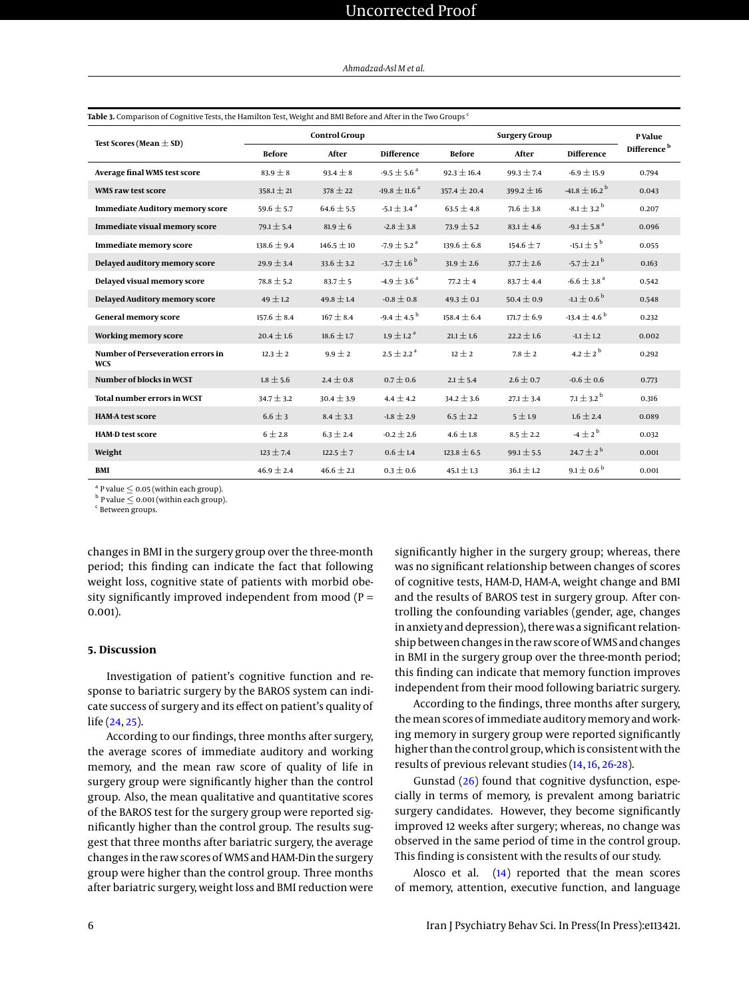| Test Scores (Mean $\pm$ SD)                            | <b>Control Group</b> |                |                                | <b>Surgery Group</b> |                 |                                           | <b>P</b> Value          |
|--------------------------------------------------------|----------------------|----------------|--------------------------------|----------------------|-----------------|-------------------------------------------|-------------------------|
|                                                        | <b>Before</b>        | After          | <b>Difference</b>              | <b>Before</b>        | After           | <b>Difference</b>                         | Difference <sup>b</sup> |
| Average final WMS test score                           | $83.9 \pm 8$         | $93.4 \pm 8$   | -9.5 $\pm$ 5.6 <sup>a</sup>    | $92.3 \pm 16.4$      | $99.3 \pm 7.4$  | $-6.9 \pm 15.9$                           | 0.794                   |
| WMS raw test score                                     | $358.1 \pm 21$       | $378 \pm 22$   | $-19.8 \pm 11.6$ <sup>a</sup>  | $357.4 \pm 20.4$     | 399.2 $\pm$ 16  | $-41.8 \pm 16.2$ <sup>b</sup>             | 0.043                   |
| <b>Immediate Auditory memory score</b>                 | 59.6 $\pm$ 5.7       | $64.6 \pm 5.5$ | -5.1 $\pm$ 3.4 $^{\mathrm{a}}$ | $63.5 \pm 4.8$       | $71.6 \pm 3.8$  | $\textbf{-8.1} \pm \textbf{3.2}^\text{b}$ | 0.207                   |
| Immediate visual memory score                          | $79.1 \pm 5.4$       | $81.9 \pm 6$   | $-2.8 \pm 3.8$                 | $73.9 \pm 5.2$       | $83.1 \pm 4.6$  | $-9.1 \pm 5.8$ <sup>a</sup>               | 0.096                   |
| Immediate memory score                                 | $138.6 \pm 9.4$      | $146.5 \pm 10$ | $-7.9 \pm 5.2$ <sup>a</sup>    | $139.6 \pm 6.8$      | $154.6 \pm 7$   | $-15.1 \pm 5^{b}$                         | 0.055                   |
| Delayed auditory memory score                          | $29.9 \pm 3.4$       | $33.6 \pm 3.2$ | $-3.7 \pm 1.6^{\circ}$         | $31.9 \pm 2.6$       | $37.7 \pm 2.6$  | $-5.7 \pm 2.1^{b}$                        | 0.163                   |
| Delayed visual memory score                            | $78.8 \pm 5.2$       | $83.7 \pm 5$   | $-4.9 \pm 3.6^{\text{ a}}$     | $77.2 \pm 4$         | $83.7 \pm 4.4$  | $-6.6 \pm 3.8$ <sup>a</sup>               | 0.542                   |
| Delayed Auditory memory score                          | $49 \pm 1.2$         | $49.8 \pm 1.4$ | $-0.8 \pm 0.8$                 | $49.3 \pm 0.1$       | $50.4 \pm 0.9$  | $-1.1 \pm 0.6^{\circ}$                    | 0.548                   |
| <b>General memory score</b>                            | $157.6 \pm 8.4$      | $167 \pm 8.4$  | $-9.4 \pm 4.5^{b}$             | $158.4 \pm 6.4$      | $171.7 \pm 6.9$ | $-13.4 \pm 4.6^{b}$                       | 0.232                   |
| Working memory score                                   | $20.4 \pm 1.6$       | $18.6 \pm 1.7$ | $1.9 \pm 1.2$ <sup>a</sup>     | $21.1 \pm 1.6$       | $22.2 \pm 1.6$  | $-1.1 \pm 1.2$                            | 0.002                   |
| <b>Number of Perseveration errors in</b><br><b>WCS</b> | $12.3 \pm 2$         | $9.9 \pm 2$    | $2.5 \pm 2.2$ <sup>a</sup>     | $12 \pm 2$           | $7.8 \pm 2$     | 4.2 $\pm$ 2 <sup>b</sup>                  | 0.292                   |
| Number of blocks in WCST                               | $1.8 \pm 5.6$        | $2.4 \pm 0.8$  | $0.7 \pm 0.6$                  | $2.1 \pm 5.4$        | $2.6 \pm 0.7$   | $-0.6 \pm 0.6$                            | 0.773                   |
| <b>Total number errors in WCST</b>                     | $34.7 \pm 3.2$       | $30.4 \pm 3.9$ | $4.4 \pm 4.2$                  | $34.2 \pm 3.6$       | $27.1 \pm 3.4$  | $7.1 \pm 3.2^{b}$                         | 0.316                   |
| <b>HAM-A test score</b>                                | $6.6 \pm 3$          | $8.4 \pm 3.3$  | $-1.8 \pm 2.9$                 | $6.5 \pm 2.2$        | $5 \pm 1.9$     | $1.6 \pm 2.4$                             | 0.089                   |
| <b>HAM-D test score</b>                                | $6 \pm 2.8$          | $6.3 \pm 2.4$  | $-0.2 \pm 2.6$                 | $4.6 \pm 1.8$        | $8.5 \pm 2.2$   | $-4 \pm 2^b$                              | 0.032                   |
| Weight                                                 | $123 \pm 7.4$        | $122.5 \pm 7$  | $0.6 \pm 1.4$                  | $123.8 \pm 6.5$      | $99.1 \pm 5.5$  | $24.7 \pm 2^{b}$                          | 0.001                   |
| BMI                                                    | $46.9 \pm 2.4$       | $46.6 \pm 2.1$ | $0.3 \pm 0.6$                  | $45.1 \pm 1.3$       | $36.1 \pm 1.2$  | 9.1 $\pm$ 0.6 <sup>b</sup>                | 0.001                   |

<span id="page-5-0"></span>**Table 3.** Comparison of Cognitive Tests, the Hamilton Test, Weight and BMI Before and After in the Two Groups <sup>c</sup>

 $a^{a}$  P value  $\leq$  0.05 (within each group).

 $^{\rm b}$  P value  $\leq$  0.001 (within each group).

c Between groups.

changes in BMI in the surgery group over the three-month period; this finding can indicate the fact that following weight loss, cognitive state of patients with morbid obesity significantly improved independent from mood ( $P =$ 0.001).

#### **5. Discussion**

Investigation of patient's cognitive function and response to bariatric surgery by the BAROS system can indicate success of surgery and its effect on patient's quality of life [\(24,](#page-8-14) [25\)](#page-8-15).

According to our findings, three months after surgery, the average scores of immediate auditory and working memory, and the mean raw score of quality of life in surgery group were significantly higher than the control group. Also, the mean qualitative and quantitative scores of the BAROS test for the surgery group were reported significantly higher than the control group. The results suggest that three months after bariatric surgery, the average changes in the raw scores of WMS and HAM-Din the surgery group were higher than the control group. Three months after bariatric surgery, weight loss and BMI reduction were

significantly higher in the surgery group; whereas, there was no significant relationship between changes of scores of cognitive tests, HAM-D, HAM-A, weight change and BMI and the results of BAROS test in surgery group. After controlling the confounding variables (gender, age, changes in anxiety and depression), there was a significant relationship between changes in the raw score of WMS and changes in BMI in the surgery group over the three-month period; this finding can indicate that memory function improves independent from their mood following bariatric surgery.

According to the findings, three months after surgery, themean scores of immediate auditorymemory and working memory in surgery group were reported significantly higher than the control group, which is consistent with the results of previous relevant studies [\(14,](#page-8-4) [16,](#page-8-6) [26](#page-8-16)[-28\)](#page-8-17).

Gunstad [\(26\)](#page-8-16) found that cognitive dysfunction, especially in terms of memory, is prevalent among bariatric surgery candidates. However, they become significantly improved 12 weeks after surgery; whereas, no change was observed in the same period of time in the control group. This finding is consistent with the results of our study.

Alosco et al.  $(14)$  reported that the mean scores of memory, attention, executive function, and language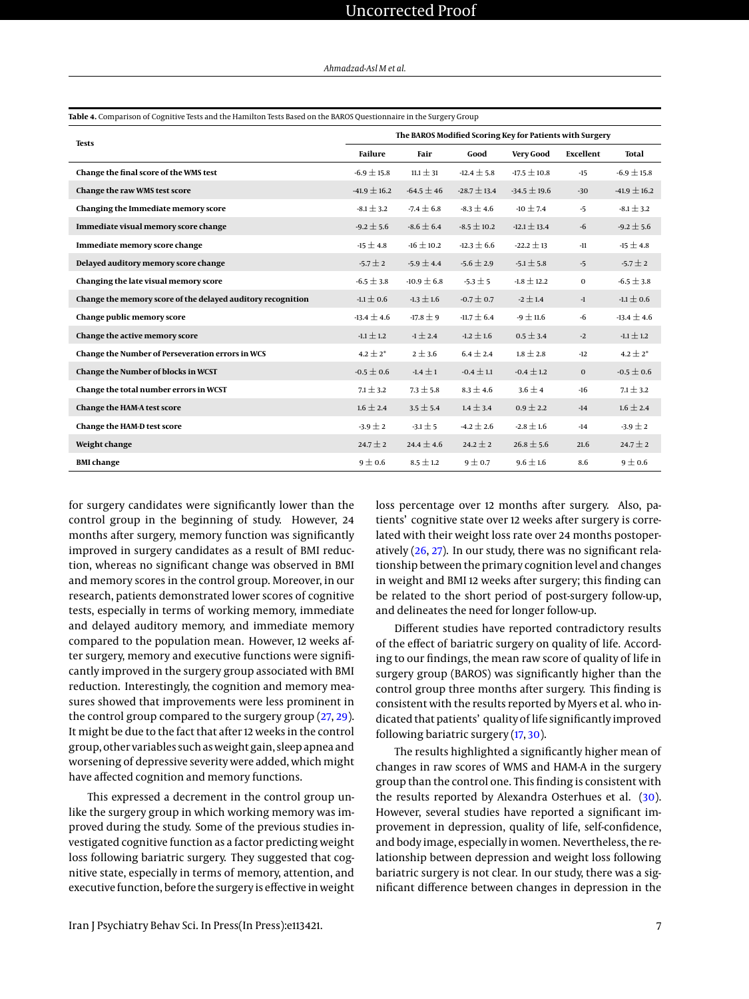<span id="page-6-0"></span>

|                                                             | Table 4. Comparison of Cognitive Tests and the Hamilton Tests Based on the BAROS Questionnaire in the Surgery Group<br>The BAROS Modified Scoring Key for Patients with Surgery |                 |                  |                  |              |                  |  |
|-------------------------------------------------------------|---------------------------------------------------------------------------------------------------------------------------------------------------------------------------------|-----------------|------------------|------------------|--------------|------------------|--|
| <b>Tests</b>                                                | Failure                                                                                                                                                                         | Fair            | Good             | Very Good        | Excellent    | <b>Total</b>     |  |
| Change the final score of the WMS test                      | $-6.9 \pm 15.8$                                                                                                                                                                 | $11.1 \pm 31$   | $-12.4 \pm 5.8$  | $-17.5 \pm 10.8$ | $-15$        | $-6.9 \pm 15.8$  |  |
| Change the raw WMS test score                               | $-41.9 \pm 16.2$                                                                                                                                                                | $-64.5 \pm 46$  | $-28.7 \pm 13.4$ | $-34.5 \pm 19.6$ | $-30$        | $-41.9 \pm 16.2$ |  |
| Changing the Immediate memory score                         | $-8.1 \pm 3.2$                                                                                                                                                                  | $-7.4 \pm 6.8$  | $-8.3 \pm 4.6$   | $-10 \pm 7.4$    | $-5$         | $-8.1 \pm 3.2$   |  |
| Immediate visual memory score change                        | $-9.2 \pm 5.6$                                                                                                                                                                  | -8.6 $\pm$ 6.4  | $-8.5 \pm 10.2$  | $-12.1 \pm 13.4$ | $-6$         | $-9.2 \pm 5.6$   |  |
| Immediate memory score change                               | $-15 \pm 4.8$                                                                                                                                                                   | $-16 \pm 10.2$  | $-12.3 \pm 6.6$  | $-22.2 \pm 13$   | $-11$        | $-15 \pm 4.8$    |  |
| Delayed auditory memory score change                        | $-5.7 \pm 2$                                                                                                                                                                    | $-5.9 \pm 4.4$  | $-5.6 \pm 2.9$   | $-5.1 \pm 5.8$   | $-5$         | $-5.7 \pm 2$     |  |
| Changing the late visual memory score                       | $-6.5 \pm 3.8$                                                                                                                                                                  | $-10.9 \pm 6.8$ | $-5.3 \pm 5$     | $-1.8 \pm 12.2$  | $\mathbf{0}$ | $-6.5 \pm 3.8$   |  |
| Change the memory score of the delayed auditory recognition | $-1.1 \pm 0.6$                                                                                                                                                                  | $-1.3 \pm 1.6$  | $-0.7 \pm 0.7$   | $-2 \pm 1.4$     | $-1$         | $-1.1 \pm 0.6$   |  |
| Change public memory score                                  | $-13.4 \pm 4.6$                                                                                                                                                                 | $-17.8 \pm 9$   | $-11.7 \pm 6.4$  | $-9 \pm 11.6$    | $-6$         | $-13.4 \pm 4.6$  |  |
| Change the active memory score                              | $-1.1 \pm 1.2$                                                                                                                                                                  | $-1 \pm 2.4$    | $-1.2 \pm 1.6$   | $0.5 \pm 3.4$    | $-2$         | $-1.1 \pm 1.2$   |  |
| Change the Number of Perseveration errors in WCS            | $4.2 \pm 2^*$                                                                                                                                                                   | 2 ± 3.6         | $6.4 \pm 2.4$    | $1.8 \pm 2.8$    | $-12$        | $4.2 \pm 2^*$    |  |
| Change the Number of blocks in WCST                         | $-0.5 \pm 0.6$                                                                                                                                                                  | $-1.4 \pm 1$    | $-0.4 \pm 1.1$   | $-0.4 \pm 1.2$   | $\mathbf{0}$ | $-0.5 \pm 0.6$   |  |
| Change the total number errors in WCST                      | $7.1 \pm 3.2$                                                                                                                                                                   | $7.3 \pm 5.8$   | $8.3 \pm 4.6$    | $3.6 \pm 4$      | $-16$        | $7.1 \pm 3.2$    |  |
| Change the HAM-A test score                                 | $1.6 \pm 2.4$                                                                                                                                                                   | $3.5 \pm 5.4$   | $1.4 \pm 3.4$    | $0.9 \pm 2.2$    | $-14$        | $1.6 \pm 2.4$    |  |
| Change the HAM-D test score                                 | $-3.9 \pm 2$                                                                                                                                                                    | $-3.1 \pm 5$    | $-4.2 \pm 2.6$   | $-2.8 \pm 1.6$   | $-14$        | $-3.9 \pm 2$     |  |
| Weight change                                               | $24.7 \pm 2$                                                                                                                                                                    | $24.4 \pm 4.6$  | $24.2 \pm 2$     | $26.8 \pm 5.6$   | 21.6         | $24.7 \pm 2$     |  |
| <b>BMI</b> change                                           | $9 \pm 0.6$                                                                                                                                                                     | $8.5 \pm 1.2$   | $9 \pm 0.7$      | $9.6 \pm 1.6$    | 8.6          | $9 \pm 0.6$      |  |

for surgery candidates were significantly lower than the control group in the beginning of study. However, 24 months after surgery, memory function was significantly improved in surgery candidates as a result of BMI reduction, whereas no significant change was observed in BMI and memory scores in the control group. Moreover, in our research, patients demonstrated lower scores of cognitive tests, especially in terms of working memory, immediate and delayed auditory memory, and immediate memory compared to the population mean. However, 12 weeks after surgery, memory and executive functions were significantly improved in the surgery group associated with BMI reduction. Interestingly, the cognition and memory measures showed that improvements were less prominent in the control group compared to the surgery group [\(27,](#page-8-18) [29\)](#page-8-19). It might be due to the fact that after 12 weeks in the control group, other variables such as weight gain, sleep apnea and worsening of depressive severity were added, which might have affected cognition and memory functions.

This expressed a decrement in the control group unlike the surgery group in which working memory was improved during the study. Some of the previous studies investigated cognitive function as a factor predicting weight loss following bariatric surgery. They suggested that cognitive state, especially in terms of memory, attention, and executive function, before the surgery is effective in weight

loss percentage over 12 months after surgery. Also, patients' cognitive state over 12 weeks after surgery is correlated with their weight loss rate over 24 months postoperatively [\(26,](#page-8-16) [27\)](#page-8-18). In our study, there was no significant relationship between the primary cognition level and changes in weight and BMI 12 weeks after surgery; this finding can be related to the short period of post-surgery follow-up, and delineates the need for longer follow-up.

Different studies have reported contradictory results of the effect of bariatric surgery on quality of life. According to our findings, the mean raw score of quality of life in surgery group (BAROS) was significantly higher than the control group three months after surgery. This finding is consistent with the results reported by Myers et al. who indicated that patients' quality of life significantly improved following bariatric surgery [\(17,](#page-8-7) [30\)](#page-8-20).

The results highlighted a significantly higher mean of changes in raw scores of WMS and HAM-A in the surgery group than the control one. This finding is consistent with the results reported by Alexandra Osterhues et al. [\(30\)](#page-8-20). However, several studies have reported a significant improvement in depression, quality of life, self-confidence, and body image, especially in women. Nevertheless, the relationship between depression and weight loss following bariatric surgery is not clear. In our study, there was a significant difference between changes in depression in the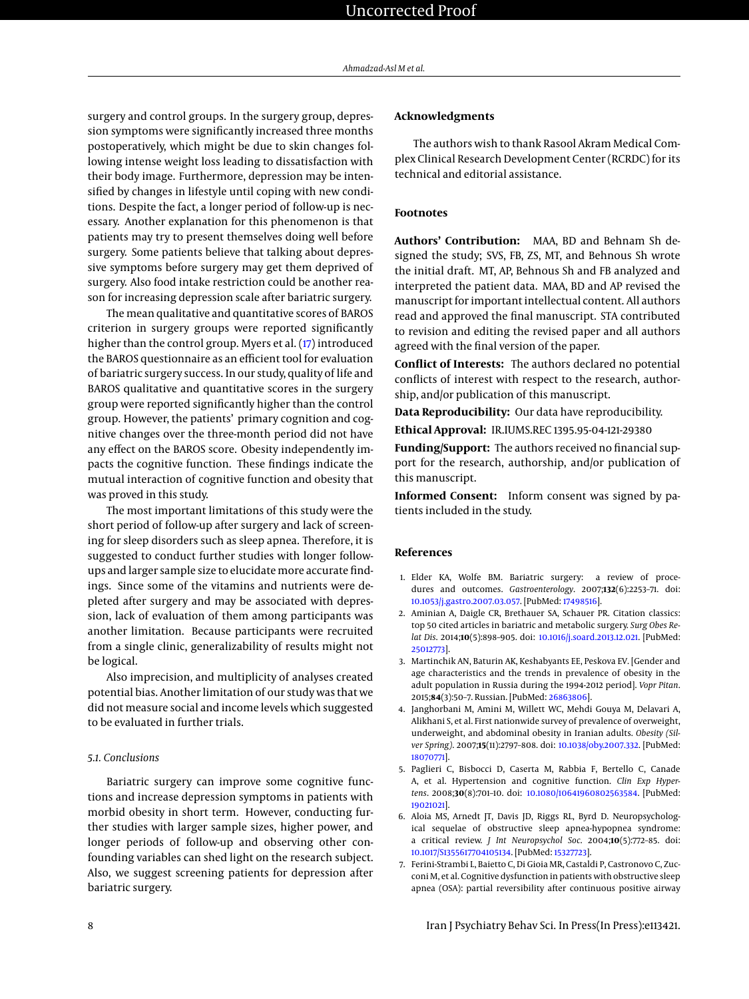surgery and control groups. In the surgery group, depression symptoms were significantly increased three months postoperatively, which might be due to skin changes following intense weight loss leading to dissatisfaction with their body image. Furthermore, depression may be intensified by changes in lifestyle until coping with new conditions. Despite the fact, a longer period of follow-up is necessary. Another explanation for this phenomenon is that patients may try to present themselves doing well before surgery. Some patients believe that talking about depressive symptoms before surgery may get them deprived of surgery. Also food intake restriction could be another reason for increasing depression scale after bariatric surgery.

The mean qualitative and quantitative scores of BAROS criterion in surgery groups were reported significantly higher than the control group. Myers et al. [\(17\)](#page-8-7) introduced the BAROS questionnaire as an efficient tool for evaluation of bariatric surgery success. In our study, quality of life and BAROS qualitative and quantitative scores in the surgery group were reported significantly higher than the control group. However, the patients' primary cognition and cognitive changes over the three-month period did not have any effect on the BAROS score. Obesity independently impacts the cognitive function. These findings indicate the mutual interaction of cognitive function and obesity that was proved in this study.

The most important limitations of this study were the short period of follow-up after surgery and lack of screening for sleep disorders such as sleep apnea. Therefore, it is suggested to conduct further studies with longer followups and larger sample size to elucidate more accurate findings. Since some of the vitamins and nutrients were depleted after surgery and may be associated with depression, lack of evaluation of them among participants was another limitation. Because participants were recruited from a single clinic, generalizability of results might not be logical.

Also imprecision, and multiplicity of analyses created potential bias. Another limitation of our study was that we did not measure social and income levels which suggested to be evaluated in further trials.

#### *5.1. Conclusions*

Bariatric surgery can improve some cognitive functions and increase depression symptoms in patients with morbid obesity in short term. However, conducting further studies with larger sample sizes, higher power, and longer periods of follow-up and observing other confounding variables can shed light on the research subject. Also, we suggest screening patients for depression after bariatric surgery.

#### **Acknowledgments**

The authors wish to thank Rasool Akram Medical Complex Clinical Research Development Center (RCRDC) for its technical and editorial assistance.

#### **Footnotes**

**Authors' Contribution:** MAA, BD and Behnam Sh designed the study; SVS, FB, ZS, MT, and Behnous Sh wrote the initial draft. MT, AP, Behnous Sh and FB analyzed and interpreted the patient data. MAA, BD and AP revised the manuscript for important intellectual content. All authors read and approved the final manuscript. STA contributed to revision and editing the revised paper and all authors agreed with the final version of the paper.

**Conflict of Interests:** The authors declared no potential conflicts of interest with respect to the research, authorship, and/or publication of this manuscript.

**Data Reproducibility:** Our data have reproducibility.

**Ethical Approval:** IR.IUMS.REC 1395.95-04-121-29380

**Funding/Support:** The authors received no financial support for the research, authorship, and/or publication of this manuscript.

**Informed Consent:** Inform consent was signed by patients included in the study.

#### **References**

- <span id="page-7-0"></span>1. Elder KA, Wolfe BM. Bariatric surgery: a review of procedures and outcomes. *Gastroenterology*. 2007;**132**(6):2253–71. doi: [10.1053/j.gastro.2007.03.057.](http://dx.doi.org/10.1053/j.gastro.2007.03.057) [PubMed: [17498516\]](http://www.ncbi.nlm.nih.gov/pubmed/17498516).
- 2. Aminian A, Daigle CR, Brethauer SA, Schauer PR. Citation classics: top 50 cited articles in bariatric and metabolic surgery. *Surg Obes Relat Dis*. 2014;**10**(5):898–905. doi: [10.1016/j.soard.2013.12.021.](http://dx.doi.org/10.1016/j.soard.2013.12.021) [PubMed: [25012773\]](http://www.ncbi.nlm.nih.gov/pubmed/25012773).
- <span id="page-7-1"></span>3. Martinchik AN, Baturin AK, Keshabyants EE, Peskova EV. [Gender and age characteristics and the trends in prevalence of obesity in the adult population in Russia during the 1994-2012 period]. *Vopr Pitan*. 2015;**84**(3):50–7. Russian. [PubMed: [26863806\]](http://www.ncbi.nlm.nih.gov/pubmed/26863806).
- <span id="page-7-2"></span>4. Janghorbani M, Amini M, Willett WC, Mehdi Gouya M, Delavari A, Alikhani S, et al. First nationwide survey of prevalence of overweight, underweight, and abdominal obesity in Iranian adults. *Obesity (Silver Spring)*. 2007;**15**(11):2797–808. doi: [10.1038/oby.2007.332.](http://dx.doi.org/10.1038/oby.2007.332) [PubMed: [18070771\]](http://www.ncbi.nlm.nih.gov/pubmed/18070771).
- <span id="page-7-3"></span>5. Paglieri C, Bisbocci D, Caserta M, Rabbia F, Bertello C, Canade A, et al. Hypertension and cognitive function. *Clin Exp Hypertens*. 2008;**30**(8):701–10. doi: [10.1080/10641960802563584.](http://dx.doi.org/10.1080/10641960802563584) [PubMed: [19021021\]](http://www.ncbi.nlm.nih.gov/pubmed/19021021).
- 6. Aloia MS, Arnedt JT, Davis JD, Riggs RL, Byrd D. Neuropsychological sequelae of obstructive sleep apnea-hypopnea syndrome: a critical review. *J Int Neuropsychol Soc*. 2004;**10**(5):772–85. doi: [10.1017/S1355617704105134.](http://dx.doi.org/10.1017/S1355617704105134) [PubMed: [15327723\]](http://www.ncbi.nlm.nih.gov/pubmed/15327723).
- <span id="page-7-4"></span>7. Ferini-Strambi L, Baietto C, Di Gioia MR, Castaldi P, Castronovo C, Zucconi M, et al. Cognitive dysfunction in patients with obstructive sleep apnea (OSA): partial reversibility after continuous positive airway